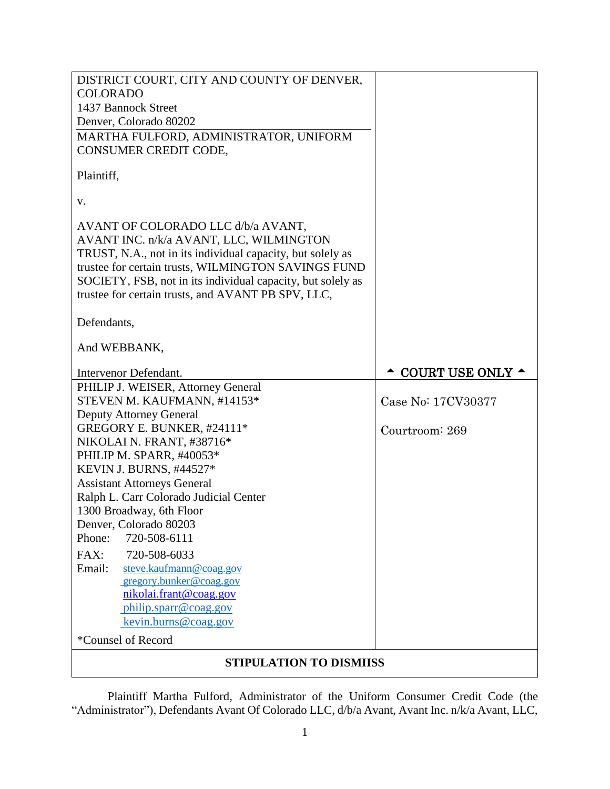| DISTRICT COURT, CITY AND COUNTY OF DENVER,                                                                         |                            |  |
|--------------------------------------------------------------------------------------------------------------------|----------------------------|--|
| <b>COLORADO</b>                                                                                                    |                            |  |
| 1437 Bannock Street                                                                                                |                            |  |
| Denver, Colorado 80202                                                                                             |                            |  |
| MARTHA FULFORD, ADMINISTRATOR, UNIFORM                                                                             |                            |  |
| CONSUMER CREDIT CODE,                                                                                              |                            |  |
| Plaintiff,                                                                                                         |                            |  |
| v.                                                                                                                 |                            |  |
| AVANT OF COLORADO LLC d/b/a AVANT,                                                                                 |                            |  |
| AVANT INC. n/k/a AVANT, LLC, WILMINGTON                                                                            |                            |  |
| TRUST, N.A., not in its individual capacity, but solely as                                                         |                            |  |
| trustee for certain trusts, WILMINGTON SAVINGS FUND<br>SOCIETY, FSB, not in its individual capacity, but solely as |                            |  |
| trustee for certain trusts, and AVANT PB SPV, LLC,                                                                 |                            |  |
|                                                                                                                    |                            |  |
| Defendants,                                                                                                        |                            |  |
| And WEBBANK,                                                                                                       |                            |  |
| Intervenor Defendant.                                                                                              | COURT USE ONLY $\triangle$ |  |
| PHILIP J. WEISER, Attorney General                                                                                 |                            |  |
| STEVEN M. KAUFMANN, #14153*                                                                                        | Case No: 17CV30377         |  |
| <b>Deputy Attorney General</b>                                                                                     |                            |  |
| GREGORY E. BUNKER, #24111*                                                                                         | Courtroom: 269             |  |
| NIKOLAI N. FRANT, #38716*                                                                                          |                            |  |
| PHILIP M. SPARR, #40053*                                                                                           |                            |  |
| KEVIN J. BURNS, #44527*                                                                                            |                            |  |
| <b>Assistant Attorneys General</b>                                                                                 |                            |  |
| Ralph L. Carr Colorado Judicial Center                                                                             |                            |  |
| 1300 Broadway, 6th Floor<br>Denver, Colorado 80203                                                                 |                            |  |
| Phone:<br>720-508-6111                                                                                             |                            |  |
| FAX:<br>720-508-6033                                                                                               |                            |  |
| steve.kaufmann@coag.gov<br>Email:                                                                                  |                            |  |
| gregory.bunker@coag.gov                                                                                            |                            |  |
| nikolai.frant@coag.gov                                                                                             |                            |  |
| philip.sparr@coag.gov                                                                                              |                            |  |
| kevin.burns@coag.gov                                                                                               |                            |  |
| *Counsel of Record                                                                                                 |                            |  |
| <b>STIPULATION TO DISMIISS</b>                                                                                     |                            |  |

Plaintiff Martha Fulford, Administrator of the Uniform Consumer Credit Code (the "Administrator"), Defendants Avant Of Colorado LLC, d/b/a Avant, Avant Inc. n/k/a Avant, LLC,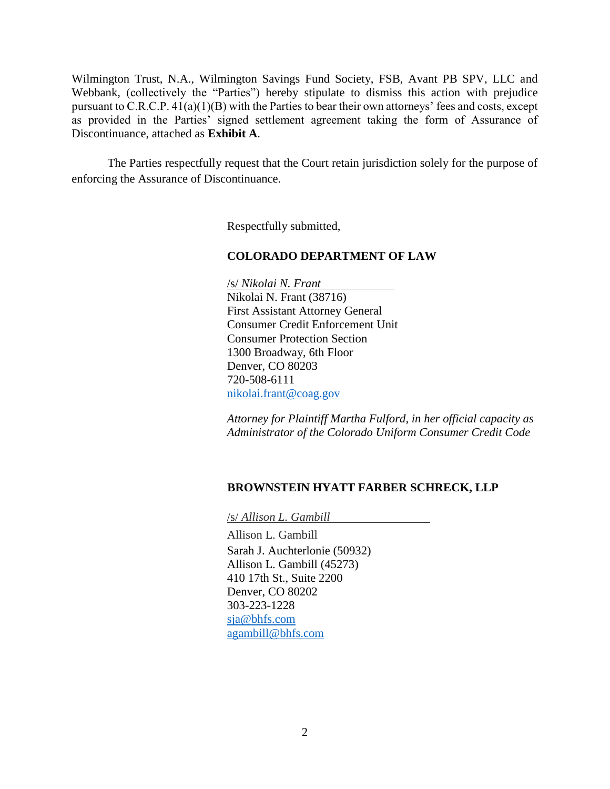Wilmington Trust, N.A., Wilmington Savings Fund Society, FSB, Avant PB SPV, LLC and Webbank, (collectively the "Parties") hereby stipulate to dismiss this action with prejudice pursuant to C.R.C.P. 41(a)(1)(B) with the Parties to bear their own attorneys' fees and costs, except as provided in the Parties' signed settlement agreement taking the form of Assurance of Discontinuance, attached as **Exhibit A**.

The Parties respectfully request that the Court retain jurisdiction solely for the purpose of enforcing the Assurance of Discontinuance.

Respectfully submitted,

# **COLORADO DEPARTMENT OF LAW**

/s/ *Nikolai N. Frant* Nikolai N. Frant (38716) First Assistant Attorney General Consumer Credit Enforcement Unit Consumer Protection Section 1300 Broadway, 6th Floor Denver, CO 80203 720-508-6111 nikolai.frant@coag.gov

*Attorney for Plaintiff Martha Fulford, in her official capacity as Administrator of the Colorado Uniform Consumer Credit Code*

# **BROWNSTEIN HYATT FARBER SCHRECK, LLP**

/s/ *Allison L. Gambill*

Allison L. Gambill Sarah J. Auchterlonie (50932) Allison L. Gambill (45273) 410 17th St., Suite 2200 Denver, CO 80202 303-223-1228 sja@bhfs.com agambill@bhfs.com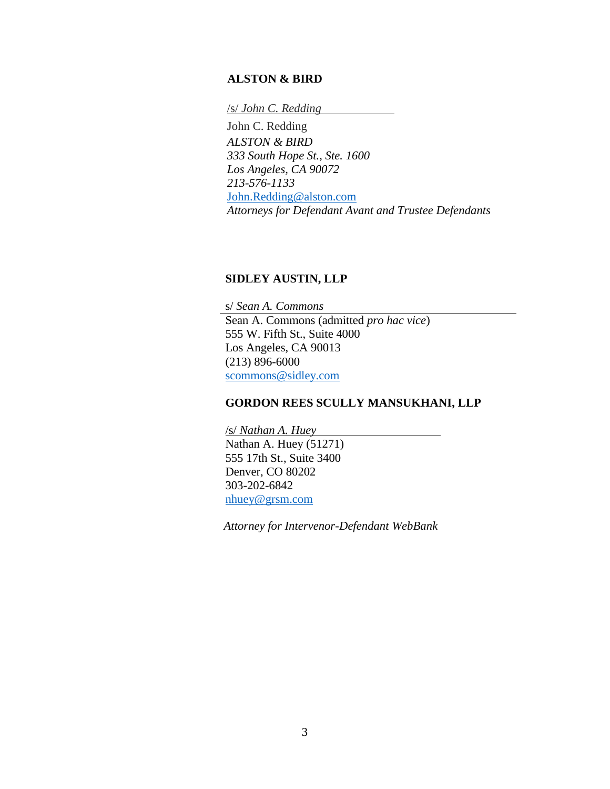#### **ALSTON & BIRD**

/s/ *John C. Redding*

John C. Redding *ALSTON & BIRD 333 South Hope St., Ste. 1600 Los Angeles, CA 90072 213-576-1133*  John.Redding@alston.com *Attorneys for Defendant Avant and Trustee Defendants*

#### **SIDLEY AUSTIN, LLP**

s/ *Sean A. Commons* Sean A. Commons (admitted *pro hac vice*) 555 W. Fifth St., Suite 4000 Los Angeles, CA 90013 (213) 896-6000 scommons@sidley.com

## **GORDON REES SCULLY MANSUKHANI, LLP**

/s/ *Nathan A. Huey* Nathan A. Huey (51271) 555 17th St., Suite 3400 Denver, CO 80202 303-202-6842 nhuey@grsm.com

*Attorney for Intervenor-Defendant WebBank*